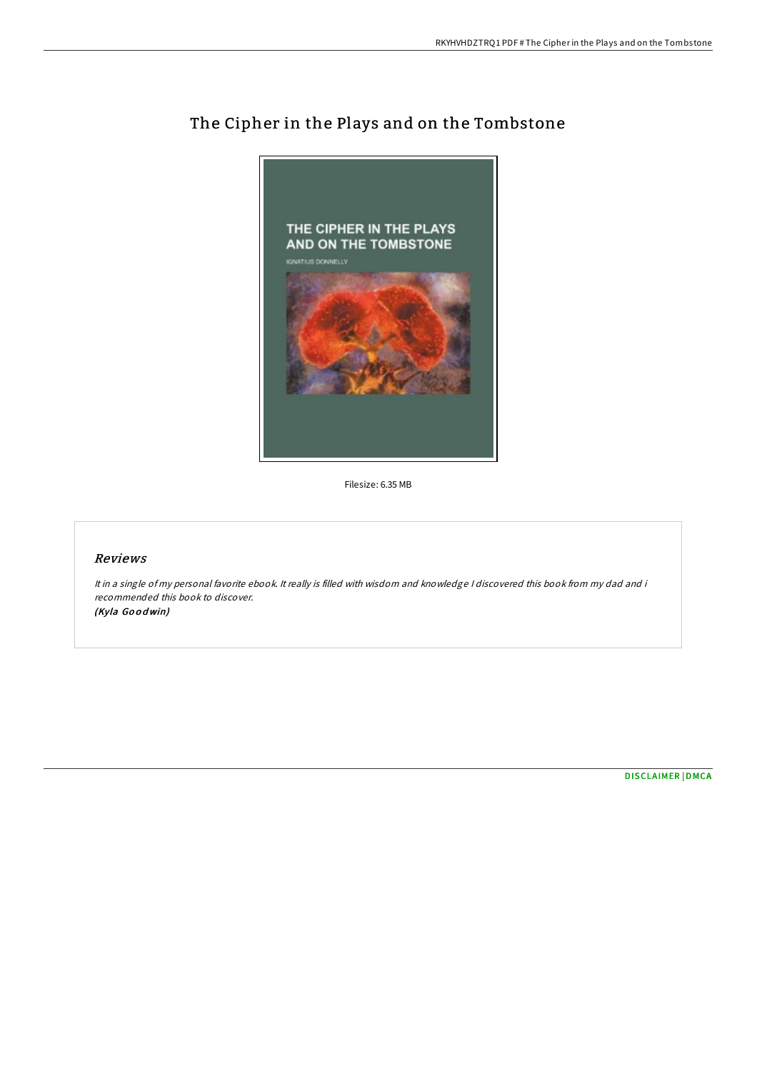

# The Cipher in the Plays and on the Tombstone

Filesize: 6.35 MB

## Reviews

It in <sup>a</sup> single of my personal favorite ebook. It really is filled with wisdom and knowledge <sup>I</sup> discovered this book from my dad and i recommended this book to discover. (Kyla Go <sup>o</sup> dwin)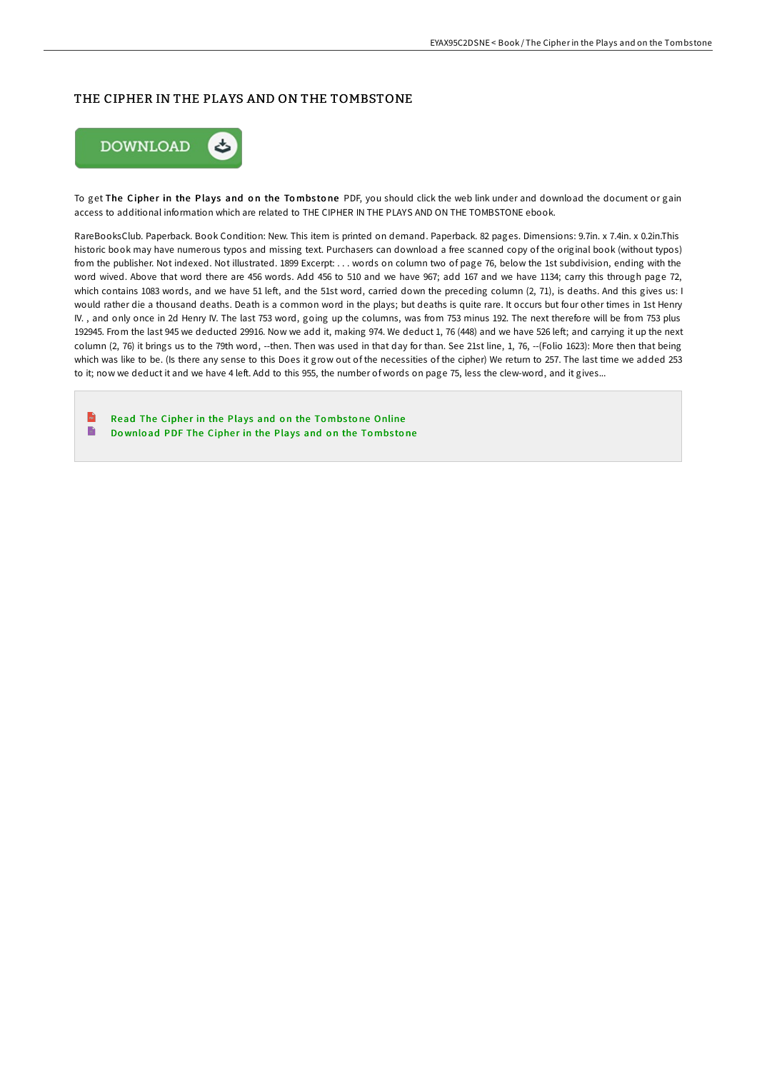# THE CIPHER IN THE PLAYS AND ON THE TOMBSTONE



To get The Cipher in the Plays and on the Tombstone PDF, you should click the web link under and download the document or gain access to additional information which are related to THE CIPHER IN THE PLAYS AND ON THE TOMBSTONE ebook.

RareBooksClub. Paperback. Book Condition: New. This item is printed on demand. Paperback. 82 pages. Dimensions: 9.7in. x 7.4in. x 0.2in.This historic book may have numerous typos and missing text. Purchasers can download a free scanned copy of the original book (without typos) from the publisher. Not indexed. Not illustrated. 1899 Excerpt: . . . words on column two of page 76, below the 1st subdivision, ending with the word wived. Above that word there are 456 words. Add 456 to 510 and we have 967; add 167 and we have 1134; carry this through page 72, which contains 1083 words, and we have 51 left, and the 51st word, carried down the preceding column (2, 71), is deaths. And this gives us: I would rather die a thousand deaths. Death is a common word in the plays; but deaths is quite rare. It occurs but four other times in 1st Henry IV. , and only once in 2d Henry IV. The last 753 word, going up the columns, was from 753 minus 192. The next therefore will be from 753 plus 192945. From the last 945 we deducted 29916. Now we add it, making 974. We deduct 1, 76 (448) and we have 526 left; and carrying it up the next column (2, 76) it brings us to the 79th word, --then. Then was used in that day for than. See 21st line, 1, 76, --(Folio 1623): More then that being which was like to be. (Is there any sense to this Does it grow out of the necessities of the cipher) We return to 257. The last time we added 253 to it; now we deduct it and we have 4 left. Add to this 955, the number of words on page 75, less the clew-word, and it gives...

 $\mathbb{R}$ Read The Cipher in the Plays and on the Tombstone [Online](http://almighty24.tech/the-cipher-in-the-plays-and-on-the-tombstone.html) B Do wnload PDF The [Ciphe](http://almighty24.tech/the-cipher-in-the-plays-and-on-the-tombstone.html)r in the Plays and on the Tombstone